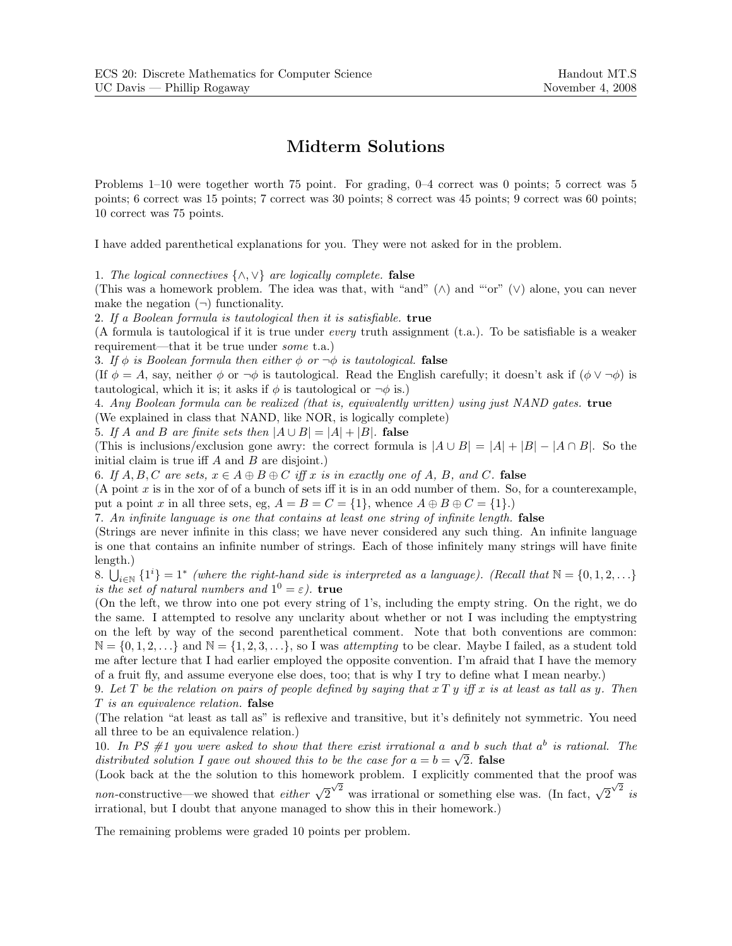## **Midterm Solutions**

Problems 1–10 were together worth 75 point. For grading, 0–4 correct was 0 points; 5 correct was 5 points; 6 correct was 15 points; 7 correct was 30 points; 8 correct was 45 points; 9 correct was 60 points; 10 correct was 75 points.

I have added parenthetical explanations for you. They were not asked for in the problem.

1. *The logical connectives* {∧,∨} *are logically complete.* **false**

(This was a homework problem. The idea was that, with "and" (∧) and "'or" (∨) alone, you can never make the negation  $(\neg)$  functionality.

2. *If a Boolean formula is tautological then it is satisfiable.* **true**

(A formula is tautological if it is true under *every* truth assignment (t.a.). To be satisfiable is a weaker requirement—that it be true under *some* t.a.)

3. If  $\phi$  *is Boolean formula then either*  $\phi$  *or*  $\neg \phi$  *is tautological.* **false** 

(If  $\phi = A$ , say, neither  $\phi$  or  $\neg \phi$  is tautological. Read the English carefully; it doesn't ask if  $(\phi \vee \neg \phi)$  is tautological, which it is; it asks if  $\phi$  is tautological or  $\neg \phi$  is.)

4. *Any Boolean formula can be realized (that is, equivalently written) using just NAND gates.* **true** (We explained in class that NAND, like NOR, is logically complete)

5. If A and B are finite sets then  $|A \cup B| = |A| + |B|$ . **false** 

(This is inclusions/exclusion gone awry: the correct formula is  $|A \cup B| = |A| + |B| - |A \cap B|$ . So the initial claim is true iff  $A$  and  $B$  are disjoint.)

6. If  $A, B, C$  are sets,  $x \in A \oplus B \oplus C$  *iff* x *is in exactly one of* A, B, and C. **false** 

(A point x is in the xor of of a bunch of sets iff it is in an odd number of them. So, for a counterexample, put a point x in all three sets, eg,  $A = B = C = \{1\}$ , whence  $A \oplus B \oplus C = \{1\}$ .

7. *An infinite language is one that contains at least one string of infinite length.* **false**

(Strings are never infinite in this class; we have never considered any such thing. An infinite language is one that contains an infinite number of strings. Each of those infinitely many strings will have finite length.)

8.  $\bigcup_{i\in\mathbb{N}}\{1^i\}=1^*$  *(where the right-hand side is interpreted as a language). (Recall that*  $\mathbb{N}=\{0,1,2,\ldots\}$ *is the set of natural numbers and*  $1^0 = \varepsilon$ *).* **true** 

(On the left, we throw into one pot every string of 1's, including the empty string. On the right, we do the same. I attempted to resolve any unclarity about whether or not I was including the emptystring on the left by way of the second parenthetical comment. Note that both conventions are common:  $\mathbb{N} = \{0, 1, 2, \ldots\}$  and  $\mathbb{N} = \{1, 2, 3, \ldots\}$ , so I was *attempting* to be clear. Maybe I failed, as a student told me after lecture that I had earlier employed the opposite convention. I'm afraid that I have the memory of a fruit fly, and assume everyone else does, too; that is why I try to define what I mean nearby.)

9. *Let* T *be the relation on pairs of people defined by saying that* xT y *iff* x *is at least as tall as* y*. Then* T *is an equivalence relation.* **false**

(The relation "at least as tall as" is reflexive and transitive, but it's definitely not symmetric. You need all three to be an equivalence relation.)

10. *In PS #1 you were asked to show that there exist irrational* a *and* b *such that* a*<sup>b</sup> is rational. The distributed solution I gave out showed this to be the case for*  $a = b = \sqrt{2}$ . **false** 

(Look back at the the solution to this homework problem. I explicitly commented that the proof was *non*-constructive—we showed that *either*  $\sqrt{2}^{\sqrt{2}}$  was irrational or something else was. (In fact,  $\sqrt{2}^{\sqrt{2}}$  *is* irrational, but I doubt that anyone managed to show this in their homework.)

The remaining problems were graded 10 points per problem.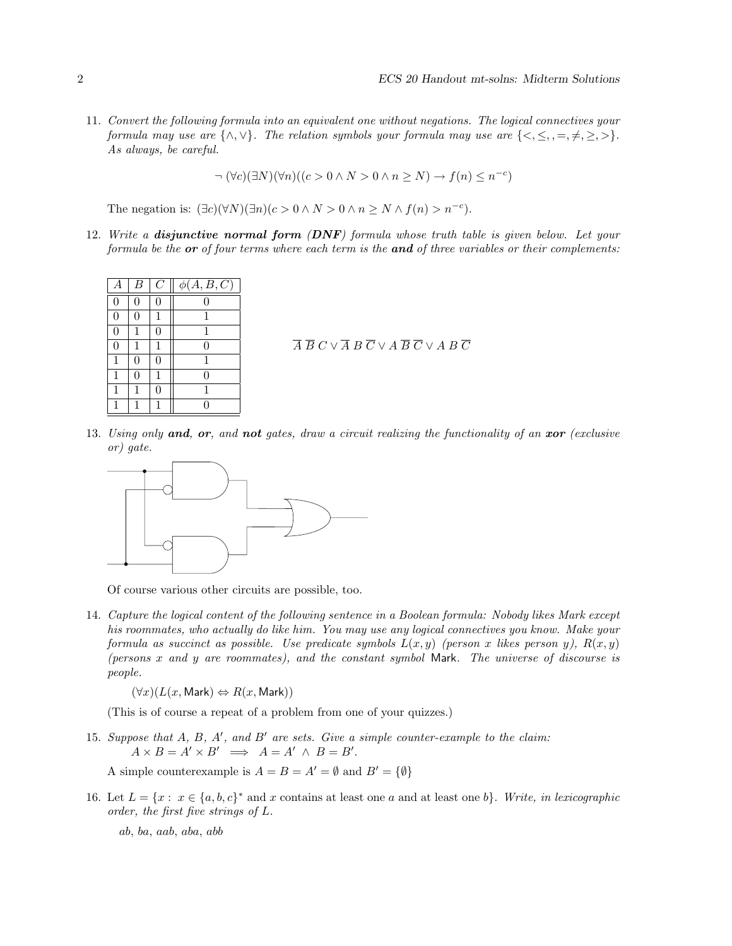11. *Convert the following formula into an equivalent one without negations. The logical connectives your formula may use are*  $\{\wedge, \vee\}$ *. The relation symbols your formula may use are*  $\{\leq, \leq, =, \neq, \geq, >\}$ *. As always, be careful.*

$$
\neg (\forall c)(\exists N)(\forall n)((c > 0 \land N > 0 \land n \ge N) \to f(n) \le n^{-c})
$$

The negation is:  $(\exists c)(\forall N)(\exists n)(c > 0 \land N > 0 \land n \geq N \land f(n) > n^{-c}).$ 

12. *Write a disjunctive normal form (DNF) formula whose truth table is given below. Let your formula be the or of four terms where each term is the and of three variables or their complements:*

| А                | B | C | $\phi(A, B, C)$ |
|------------------|---|---|-----------------|
| $\boldsymbol{0}$ | 0 | 0 | 0               |
| $\overline{0}$   | 0 |   | 1               |
| $\overline{0}$   |   | 0 | 1               |
| $\boldsymbol{0}$ | 1 | 1 | 0               |
| $\mathbf{1}$     | 0 | 0 | 1               |
| $\mathbf{1}$     | 0 | 1 | 0               |
| $\mathbf{1}$     | 1 | 0 | 1               |
|                  |   |   |                 |

 $\overline{A}\ \overline{B}\ C \vee \overline{A}\ B\ \overline{C}\ \vee A\ \overline{B}\ \overline{C}\ \vee A\ B\ \overline{C}$ 

13. *Using only and, or, and not gates, draw a circuit realizing the functionality of an xor (exclusive or) gate.*



Of course various other circuits are possible, too.

14. *Capture the logical content of the following sentence in a Boolean formula: Nobody likes Mark except his roommates, who actually do like him. You may use any logical connectives you know. Make your formula as succinct as possible. Use predicate symbols*  $L(x, y)$  *(person* x *likes person* y),  $R(x, y)$ *(persons* x *and* y *are roommates), and the constant symbol* Mark*. The universe of discourse is people.*

 $(\forall x)(L(x, \text{Mark}) \Leftrightarrow R(x, \text{Mark}))$ 

(This is of course a repeat of a problem from one of your quizzes.)

15. *Suppose that* A*,* B*,* A *, and* B *are sets. Give a simple counter-example to the claim:*  $A \times B = A' \times B' \implies A = A' \land B = B'.$ 

A simple counterexample is  $A = B = A' = \emptyset$  and  $B' = \{\emptyset\}$ 

16. Let  $L = \{x : x \in \{a, b, c\}^* \text{ and } x \text{ contains at least one } a \text{ and at least one } b\}$ . *Write, in lexicographic order, the first five strings of* L*.*

ab, ba, aab, aba, abb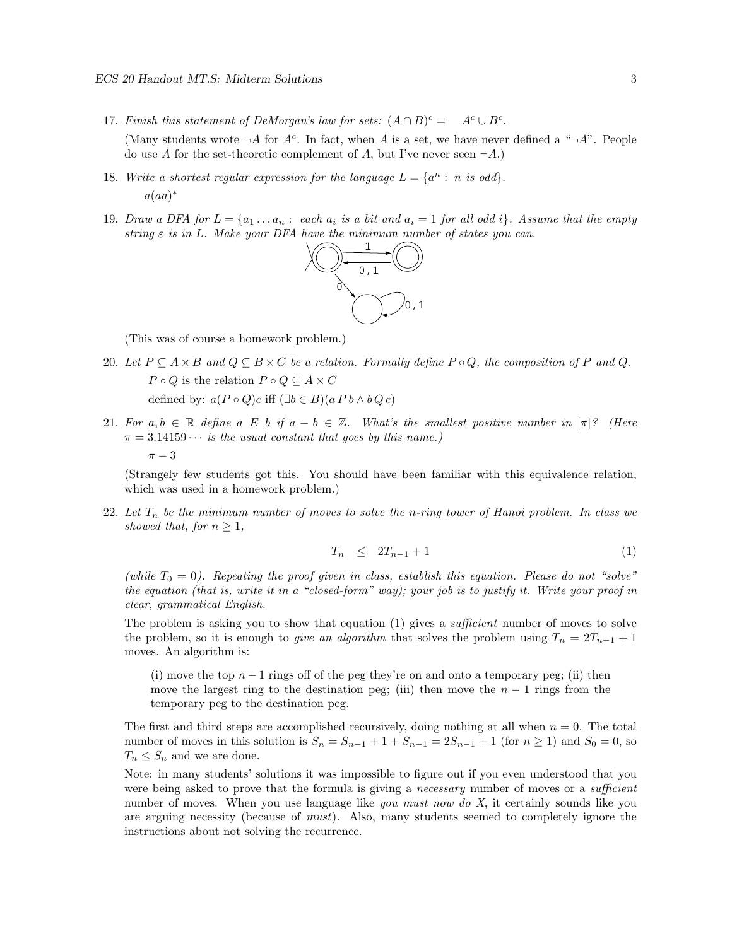- 17. *Finish this statement of DeMorgan's law for sets:*  $(A \cap B)^c = A^c \cup B^c$ . (Many students wrote  $\neg A$  for  $A^c$ . In fact, when A is a set, we have never defined a " $\neg A$ ". People do use  $\overline{A}$  for the set-theoretic complement of A, but I've never seen  $\neg A$ .)
- 18. *Write a shortest regular expression for the language*  $L = \{a^n : n \text{ is odd}\}.$  $a(aa)^*$
- 19. *Draw a DFA for*  $L = \{a_1 \ldots a_n : each \ a_i \ is \ a \ bit \ and \ a_i = 1 \ for \ all \ odd \ i\}.$  Assume that the empty *string*  $\varepsilon$  *is in* L. Make your DFA have the minimum number of states you can.



(This was of course a homework problem.)

- 20. Let  $P \subseteq A \times B$  and  $Q \subseteq B \times C$  be a relation. Formally define  $P \circ Q$ , the composition of P and Q.  $P \circ Q$  is the relation  $P \circ Q \subseteq A \times C$ defined by:  $a(P \circ Q)c$  iff  $(\exists b \in B)(a P b \land b Q c)$
- 21. For  $a, b \in \mathbb{R}$  define  $a \in b$  *if*  $a b \in \mathbb{Z}$ . What's the smallest positive number in  $[\pi]^2$  (Here  $\pi = 3.14159 \cdots$  *is the usual constant that goes by this name.*)  $\pi - 3$

(Strangely few students got this. You should have been familiar with this equivalence relation, which was used in a homework problem.)

22. *Let* T*<sup>n</sup> be the minimum number of moves to solve the* n*-ring tower of Hanoi problem. In class we showed that, for*  $n > 1$ *,* 

$$
T_n \leq 2T_{n-1} + 1 \tag{1}
$$

*(while*  $T_0 = 0$ ). Repeating the proof given in class, establish this equation. Please do not "solve" *the equation (that is, write it in a "closed-form" way); your job is to justify it. Write your proof in clear, grammatical English.*

The problem is asking you to show that equation (1) gives a *sufficient* number of moves to solve the problem, so it is enough to *give an algorithm* that solves the problem using  $T_n = 2T_{n-1} + 1$ moves. An algorithm is:

(i) move the top  $n-1$  rings off of the peg they're on and onto a temporary peg; (ii) then move the largest ring to the destination peg; (iii) then move the  $n-1$  rings from the temporary peg to the destination peg.

The first and third steps are accomplished recursively, doing nothing at all when  $n = 0$ . The total number of moves in this solution is  $S_n = S_{n-1} + 1 + S_{n-1} = 2S_{n-1} + 1$  (for  $n \ge 1$ ) and  $S_0 = 0$ , so  $T_n \leq S_n$  and we are done.

Note: in many students' solutions it was impossible to figure out if you even understood that you were being asked to prove that the formula is giving a *necessary* number of moves or a *sufficient* number of moves. When you use language like *you must now do X*, it certainly sounds like you are arguing necessity (because of *must*). Also, many students seemed to completely ignore the instructions about not solving the recurrence.